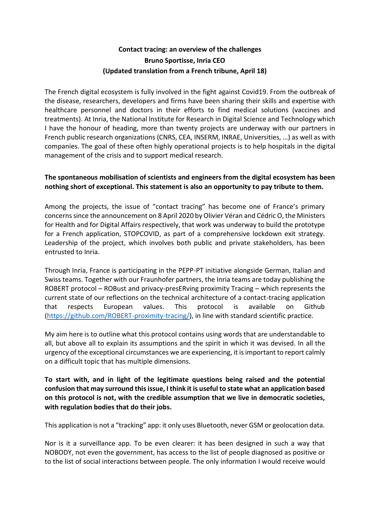# **Contact tracing: an overview of the challenges Bruno Sportisse, Inria CEO (Updated translation from a French tribune, April 18)**

The French digital ecosystem is fully involved in the fight against Covid19. From the outbreak of the disease, researchers, developers and firms have been sharing their skills and expertise with healthcare personnel and doctors in their efforts to find medical solutions (vaccines and treatments). At Inria, the National Institute for Research in Digital Science and Technology which I have the honour of heading, more than twenty projects are underway with our partners in French public research organizations (CNRS, CEA, INSERM, INRAE, Universities, …) as well as with companies. The goal of these often highly operational projects is to help hospitals in the digital management of the crisis and to support medical research.

# **The spontaneous mobilisation of scientists and engineers from the digital ecosystem has been nothing short of exceptional. This statement is also an opportunity to pay tribute to them.**

Among the projects, the issue of "contact tracing" has become one of France's primary concerns since the announcement on 8 April 2020 by Olivier Véran and Cédric O, the Ministers for Health and for Digital Affairs respectively, that work was underway to build the prototype for a French application, STOPCOVID, as part of a comprehensive lockdown exit strategy. Leadership of the project, which involves both public and private stakeholders, has been entrusted to Inria.

Through Inria, France is participating in the PEPP-PT initiative alongside German, Italian and Swiss teams. Together with our Fraunhofer partners, the Inria teams are today publishing the ROBERT protocol – ROBust and privacy-presERving proximity Tracing – which represents the current state of our reflections on the technical architecture of a contact-tracing application that respects European values. This protocol is available on Github [\(https://github.com/ROBERT-proximity-tracing/\)](https://github.com/ROBERT-proximity-tracing/), in line with standard scientific practice.

My aim here is to outline what this protocol contains using words that are understandable to all, but above all to explain its assumptions and the spirit in which it was devised. In all the urgency of the exceptional circumstances we are experiencing, it is important to report calmly on a difficult topic that has multiple dimensions.

**To start with, and in light of the legitimate questions being raised and the potential confusion that may surround this issue, I think it is useful to state what an application based on this protocol is not, with the credible assumption that we live in democratic societies, with regulation bodies that do their jobs.**

This application is not a "tracking" app: it only uses Bluetooth, never GSM or geolocation data.

Nor is it a surveillance app. To be even clearer: it has been designed in such a way that NOBODY, not even the government, has access to the list of people diagnosed as positive or to the list of social interactions between people. The only information I would receive would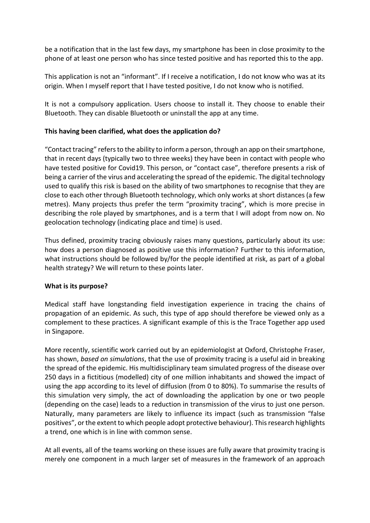be a notification that in the last few days, my smartphone has been in close proximity to the phone of at least one person who has since tested positive and has reported this to the app.

This application is not an "informant". If I receive a notification, I do not know who was at its origin. When I myself report that I have tested positive, I do not know who is notified.

It is not a compulsory application. Users choose to install it. They choose to enable their Bluetooth. They can disable Bluetooth or uninstall the app at any time.

# **This having been clarified, what does the application do?**

"Contact tracing" refers to the ability to inform a person, through an app on their smartphone, that in recent days (typically two to three weeks) they have been in contact with people who have tested positive for Covid19. This person, or "contact case", therefore presents a risk of being a carrier of the virus and accelerating the spread of the epidemic. The digital technology used to qualify this risk is based on the ability of two smartphones to recognise that they are close to each other through Bluetooth technology, which only works at short distances (a few metres). Many projects thus prefer the term "proximity tracing", which is more precise in describing the role played by smartphones, and is a term that I will adopt from now on. No geolocation technology (indicating place and time) is used.

Thus defined, proximity tracing obviously raises many questions, particularly about its use: how does a person diagnosed as positive use this information? Further to this information, what instructions should be followed by/for the people identified at risk, as part of a global health strategy? We will return to these points later.

### **What is its purpose?**

Medical staff have longstanding field investigation experience in tracing the chains of propagation of an epidemic. As such, this type of app should therefore be viewed only as a complement to these practices. A significant example of this is the Trace Together app used in Singapore.

More recently, scientific work carried out by an epidemiologist at Oxford, Christophe Fraser, has shown, *based on simulations*, that the use of proximity tracing is a useful aid in breaking the spread of the epidemic. His multidisciplinary team simulated progress of the disease over 250 days in a fictitious (modelled) city of one million inhabitants and showed the impact of using the app according to its level of diffusion (from 0 to 80%). To summarise the results of this simulation very simply, the act of downloading the application by one or two people (depending on the case) leads to a reduction in transmission of the virus to just one person. Naturally, many parameters are likely to influence its impact (such as transmission "false positives", or the extent to which people adopt protective behaviour). This research highlights a trend, one which is in line with common sense.

At all events, all of the teams working on these issues are fully aware that proximity tracing is merely one component in a much larger set of measures in the framework of an approach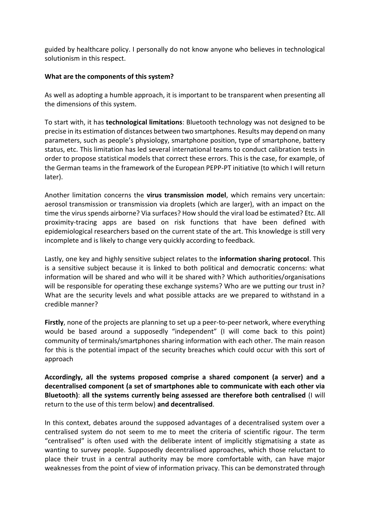guided by healthcare policy. I personally do not know anyone who believes in technological solutionism in this respect.

## **What are the components of this system?**

As well as adopting a humble approach, it is important to be transparent when presenting all the dimensions of this system.

To start with, it has **technological limitations**: Bluetooth technology was not designed to be precise in its estimation of distances between two smartphones. Results may depend on many parameters, such as people's physiology, smartphone position, type of smartphone, battery status, etc. This limitation has led several international teams to conduct calibration tests in order to propose statistical models that correct these errors. This is the case, for example, of the German teams in the framework of the European PEPP-PT initiative (to which I will return later).

Another limitation concerns the **virus transmission model**, which remains very uncertain: aerosol transmission or transmission via droplets (which are larger), with an impact on the time the virus spends airborne? Via surfaces? How should the viral load be estimated? Etc. All proximity-tracing apps are based on risk functions that have been defined with epidemiological researchers based on the current state of the art. This knowledge is still very incomplete and is likely to change very quickly according to feedback.

Lastly, one key and highly sensitive subject relates to the **information sharing protocol**. This is a sensitive subject because it is linked to both political and democratic concerns: what information will be shared and who will it be shared with? Which authorities/organisations will be responsible for operating these exchange systems? Who are we putting our trust in? What are the security levels and what possible attacks are we prepared to withstand in a credible manner?

**Firstly**, none of the projects are planning to set up a peer-to-peer network, where everything would be based around a supposedly "independent" (I will come back to this point) community of terminals/smartphones sharing information with each other. The main reason for this is the potential impact of the security breaches which could occur with this sort of approach

**Accordingly, all the systems proposed comprise a shared component (a server) and a decentralised component (a set of smartphones able to communicate with each other via Bluetooth)**: **all the systems currently being assessed are therefore both centralised** (I will return to the use of this term below) **and decentralised**.

In this context, debates around the supposed advantages of a decentralised system over a centralised system do not seem to me to meet the criteria of scientific rigour. The term "centralised" is often used with the deliberate intent of implicitly stigmatising a state as wanting to survey people. Supposedly decentralised approaches, which those reluctant to place their trust in a central authority may be more comfortable with, can have major weaknesses from the point of view of information privacy. This can be demonstrated through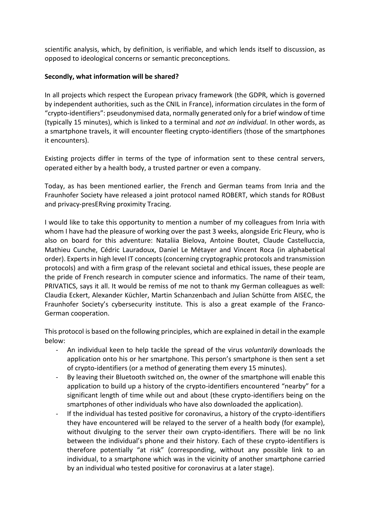scientific analysis, which, by definition, is verifiable, and which lends itself to discussion, as opposed to ideological concerns or semantic preconceptions.

## **Secondly, what information will be shared?**

In all projects which respect the European privacy framework (the GDPR, which is governed by independent authorities, such as the CNIL in France), information circulates in the form of "crypto-identifiers": pseudonymised data, normally generated only for a brief window of time (typically 15 minutes), which is linked to a terminal and *not an individual*. In other words, as a smartphone travels, it will encounter fleeting crypto-identifiers (those of the smartphones it encounters).

Existing projects differ in terms of the type of information sent to these central servers, operated either by a health body, a trusted partner or even a company.

Today, as has been mentioned earlier, the French and German teams from Inria and the Fraunhofer Society have released a joint protocol named ROBERT, which stands for ROBust and privacy-presERving proximity Tracing.

I would like to take this opportunity to mention a number of my colleagues from Inria with whom I have had the pleasure of working over the past 3 weeks, alongside Eric Fleury, who is also on board for this adventure: Nataliia Bielova, Antoine Boutet, Claude Castelluccia, Mathieu Cunche, Cédric Lauradoux, Daniel Le Métayer and Vincent Roca (in alphabetical order). Experts in high level IT concepts (concerning cryptographic protocols and transmission protocols) and with a firm grasp of the relevant societal and ethical issues, these people are the pride of French research in computer science and informatics. The name of their team, PRIVATICS, says it all. It would be remiss of me not to thank my German colleagues as well: Claudia Eckert, Alexander Küchler, Martin Schanzenbach and Julian Schütte from AISEC, the Fraunhofer Society's cybersecurity institute. This is also a great example of the Franco-German cooperation.

This protocol is based on the following principles, which are explained in detail in the example below:

- An individual keen to help tackle the spread of the virus *voluntarily* downloads the application onto his or her smartphone. This person's smartphone is then sent a set of crypto-identifiers (or a method of generating them every 15 minutes).
- By leaving their Bluetooth switched on, the owner of the smartphone will enable this application to build up a history of the crypto-identifiers encountered "nearby" for a significant length of time while out and about (these crypto-identifiers being on the smartphones of other individuals who have also downloaded the application).
- If the individual has tested positive for coronavirus, a history of the crypto-identifiers they have encountered will be relayed to the server of a health body (for example), without divulging to the server their own crypto-identifiers. There will be no link between the individual's phone and their history. Each of these crypto-identifiers is therefore potentially "at risk" (corresponding, without any possible link to an individual, to a smartphone which was in the vicinity of another smartphone carried by an individual who tested positive for coronavirus at a later stage).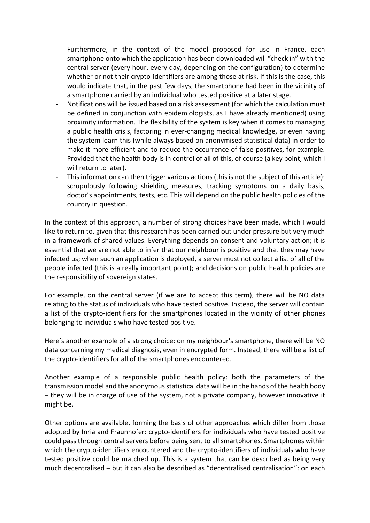- Furthermore, in the context of the model proposed for use in France, each smartphone onto which the application has been downloaded will "check in" with the central server (every hour, every day, depending on the configuration) to determine whether or not their crypto-identifiers are among those at risk. If this is the case, this would indicate that, in the past few days, the smartphone had been in the vicinity of a smartphone carried by an individual who tested positive at a later stage.
- Notifications will be issued based on a risk assessment (for which the calculation must be defined in conjunction with epidemiologists, as I have already mentioned) using proximity information. The flexibility of the system is key when it comes to managing a public health crisis, factoring in ever-changing medical knowledge, or even having the system learn this (while always based on anonymised statistical data) in order to make it more efficient and to reduce the occurrence of false positives, for example. Provided that the health body is in control of all of this, of course (a key point, which I will return to later).
- This information can then trigger various actions (this is not the subject of this article): scrupulously following shielding measures, tracking symptoms on a daily basis, doctor's appointments, tests, etc. This will depend on the public health policies of the country in question.

In the context of this approach, a number of strong choices have been made, which I would like to return to, given that this research has been carried out under pressure but very much in a framework of shared values. Everything depends on consent and voluntary action; it is essential that we are not able to infer that our neighbour is positive and that they may have infected us; when such an application is deployed, a server must not collect a list of all of the people infected (this is a really important point); and decisions on public health policies are the responsibility of sovereign states.

For example, on the central server (if we are to accept this term), there will be NO data relating to the status of individuals who have tested positive. Instead, the server will contain a list of the crypto-identifiers for the smartphones located in the vicinity of other phones belonging to individuals who have tested positive.

Here's another example of a strong choice: on my neighbour's smartphone, there will be NO data concerning my medical diagnosis, even in encrypted form. Instead, there will be a list of the crypto-identifiers for all of the smartphones encountered.

Another example of a responsible public health policy: both the parameters of the transmission model and the anonymous statistical data will be in the hands of the health body – they will be in charge of use of the system, not a private company, however innovative it might be.

Other options are available, forming the basis of other approaches which differ from those adopted by Inria and Fraunhofer: crypto-identifiers for individuals who have tested positive could pass through central servers before being sent to all smartphones. Smartphones within which the crypto-identifiers encountered and the crypto-identifiers of individuals who have tested positive could be matched up. This is a system that can be described as being very much decentralised – but it can also be described as "decentralised centralisation": on each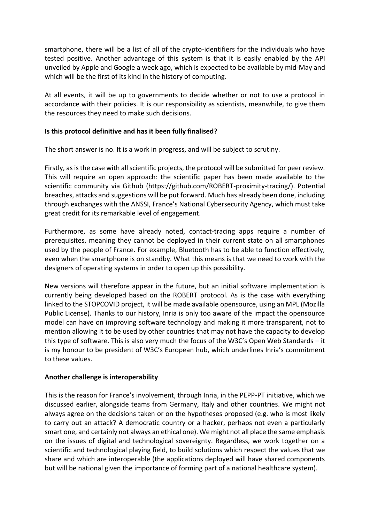smartphone, there will be a list of all of the crypto-identifiers for the individuals who have tested positive. Another advantage of this system is that it is easily enabled by the API unveiled by Apple and Google a week ago, which is expected to be available by mid-May and which will be the first of its kind in the history of computing.

At all events, it will be up to governments to decide whether or not to use a protocol in accordance with their policies. It is our responsibility as scientists, meanwhile, to give them the resources they need to make such decisions.

### **Is this protocol definitive and has it been fully finalised?**

The short answer is no. It is a work in progress, and will be subject to scrutiny.

Firstly, as is the case with all scientific projects, the protocol will be submitted for peer review. This will require an open approach: the scientific paper has been made available to the scientific community via Github (https://github.com/ROBERT-proximity-tracing/). Potential breaches, attacks and suggestions will be put forward. Much has already been done, including through exchanges with the ANSSI, France's National Cybersecurity Agency, which must take great credit for its remarkable level of engagement.

Furthermore, as some have already noted, contact-tracing apps require a number of prerequisites, meaning they cannot be deployed in their current state on all smartphones used by the people of France. For example, Bluetooth has to be able to function effectively, even when the smartphone is on standby. What this means is that we need to work with the designers of operating systems in order to open up this possibility.

New versions will therefore appear in the future, but an initial software implementation is currently being developed based on the ROBERT protocol. As is the case with everything linked to the STOPCOVID project, it will be made available opensource, using an MPL (Mozilla Public License). Thanks to our history, Inria is only too aware of the impact the opensource model can have on improving software technology and making it more transparent, not to mention allowing it to be used by other countries that may not have the capacity to develop this type of software. This is also very much the focus of the W3C's Open Web Standards – it is my honour to be president of W3C's European hub, which underlines Inria's commitment to these values.

### **Another challenge is interoperability**

This is the reason for France's involvement, through Inria, in the PEPP-PT initiative, which we discussed earlier, alongside teams from Germany, Italy and other countries. We might not always agree on the decisions taken or on the hypotheses proposed (e.g. who is most likely to carry out an attack? A democratic country or a hacker, perhaps not even a particularly smart one, and certainly not always an ethical one). We might not all place the same emphasis on the issues of digital and technological sovereignty. Regardless, we work together on a scientific and technological playing field, to build solutions which respect the values that we share and which are interoperable (the applications deployed will have shared components but will be national given the importance of forming part of a national healthcare system).